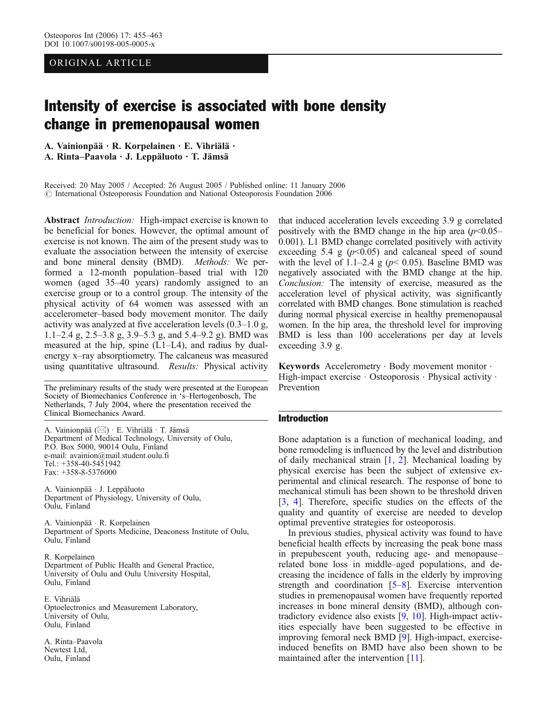# ORIGINAL ARTICLE

# Intensity of exercise is associated with bone density change in premenopausal women

A. Vainionpää . R. Korpelainen . E. Vihriälä . A. Rinta*–*Paavola . J. Leppäluoto . T. Jämsä

Received: 20 May 2005 / Accepted: 26 August 2005 / Published online: 11 January 2006 *#* International Osteoporosis Foundation and National Osteoporosis Foundation 2006

Abstract *Introduction*: High-impact exercise is known to be beneficial for bones. However, the optimal amount of exercise is not known. The aim of the present study was to evaluate the association between the intensity of exercise and bone mineral density (BMD). Methods: We performed a 12-month population–based trial with 120 women (aged 35–40 years) randomly assigned to an exercise group or to a control group. The intensity of the physical activity of 64 women was assessed with an accelerometer–based body movement monitor. The daily activity was analyzed at five acceleration levels (0.3–1.0 g, 1.1–2.4 g, 2.5–3.8 g, 3.9–5.3 g, and 5.4–9.2 g). BMD was measured at the hip, spine (L1–L4), and radius by dualenergy x–ray absorptiometry. The calcaneus was measured using quantitative ultrasound. Results: Physical activity

The preliminary results of the study were presented at the European Society of Biomechanics Conference in 's–Hertogenbosch, The Netherlands, 7 July 2004, where the presentation received the Clinical Biomechanics Award.

A. Vainionpää (*\**) . E. Vihriälä . T. Jämsä Department of Medical Technology, University of Oulu, P.O. Box 5000, 90014 Oulu, Finland e-mail: avainion@mail.student.oulu.fi Tel.: +358-40-5451942 Fax: +358-8-5376000

A. Vainionpää . J. Leppäluoto Department of Physiology, University of Oulu, Oulu, Finland

A. Vainionpää . R. Korpelainen Department of Sports Medicine, Deaconess Institute of Oulu, Oulu, Finland

R. Korpelainen Department of Public Health and General Practice, University of Oulu and Oulu University Hospital, Oulu, Finland

E. Vihriälä Optoelectronics and Measurement Laboratory, University of Oulu, Oulu, Finland

A. Rinta–Paavola Newtest Ltd, Oulu, Finland

that induced acceleration levels exceeding 3.9 g correlated positively with the BMD change in the hip area  $(p<0.05-$ 0.001). L1 BMD change correlated positively with activity exceeding 5.4 g ( $p<0.05$ ) and calcaneal speed of sound with the level of 1.1–2.4 g ( $p$ < 0.05). Baseline BMD was negatively associated with the BMD change at the hip. Conclusion: The intensity of exercise, measured as the acceleration level of physical activity, was significantly correlated with BMD changes. Bone stimulation is reached during normal physical exercise in healthy premenopausal women. In the hip area, the threshold level for improving BMD is less than 100 accelerations per day at levels exceeding 3.9 g.

Keywords Accelerometry . Body movement monitor . High-impact exercise  $\cdot$  Osteoporosis  $\cdot$  Physical activity  $\cdot$ Prevention

#### Introduction

Bone adaptation is a function of mechanical loading, and bone remodeling is influenced by the level and distribution of daily mechanical strain  $[1, 2]$  $[1, 2]$  $[1, 2]$  $[1, 2]$ . Mechanical loading by physical exercise has been the subject of extensive experimental and clinical research. The response of bone to mechanical stimuli has been shown to be threshold driven [[3,](#page-7-0) [4\]](#page-7-0). Therefore, specific studies on the effects of the quality and quantity of exercise are needed to develop optimal preventive strategies for osteoporosis.

In previous studies, physical activity was found to have beneficial health effects by increasing the peak bone mass in prepubescent youth, reducing age- and menopause– related bone loss in middle–aged populations, and decreasing the incidence of falls in the elderly by improving strength and coordination [[5](#page-7-0)–[8\]](#page-7-0). Exercise intervention studies in premenopausal women have frequently reported increases in bone mineral density (BMD), although contradictory evidence also exists [\[9](#page-7-0), [10\]](#page-7-0). High-impact activities especially have been suggested to be effective in improving femoral neck BMD [[9\]](#page-7-0). High-impact, exerciseinduced benefits on BMD have also been shown to be maintained after the intervention [[11\]](#page-7-0).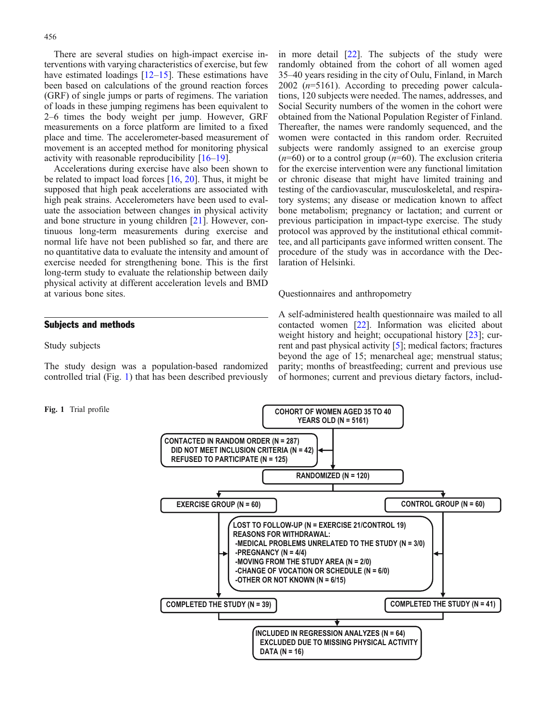<span id="page-1-0"></span>There are several studies on high-impact exercise interventions with varying characteristics of exercise, but few have estimated loadings  $[12–15]$  $[12–15]$  $[12–15]$  $[12–15]$ . These estimations have been based on calculations of the ground reaction forces (GRF) of single jumps or parts of regimens. The variation of loads in these jumping regimens has been equivalent to 2–6 times the body weight per jump. However, GRF measurements on a force platform are limited to a fixed place and time. The accelerometer-based measurement of movement is an accepted method for monitoring physical activity with reasonable reproducibility [\[16](#page-7-0)–[19](#page-7-0)].

Accelerations during exercise have also been shown to be related to impact load forces [\[16,](#page-7-0) [20\]](#page-7-0). Thus, it might be supposed that high peak accelerations are associated with high peak strains. Accelerometers have been used to evaluate the association between changes in physical activity and bone structure in young children [\[21\]](#page-7-0). However, continuous long-term measurements during exercise and normal life have not been published so far, and there are no quantitative data to evaluate the intensity and amount of exercise needed for strengthening bone. This is the first long-term study to evaluate the relationship between daily physical activity at different acceleration levels and BMD at various bone sites.

## Subjects and methods

Study subjects

The study design was a population-based randomized controlled trial (Fig. 1) that has been described previously

Fig. 1 Trial profile

in more detail [\[22\]](#page-7-0). The subjects of the study were randomly obtained from the cohort of all women aged 35–40 years residing in the city of Oulu, Finland, in March  $2002$  ( $n=5161$ ). According to preceding power calculations, 120 subjects were needed. The names, addresses, and Social Security numbers of the women in the cohort were obtained from the National Population Register of Finland. Thereafter, the names were randomly sequenced, and the women were contacted in this random order. Recruited subjects were randomly assigned to an exercise group  $(n=60)$  or to a control group  $(n=60)$ . The exclusion criteria for the exercise intervention were any functional limitation or chronic disease that might have limited training and testing of the cardiovascular, musculoskeletal, and respiratory systems; any disease or medication known to affect bone metabolism; pregnancy or lactation; and current or previous participation in impact-type exercise. The study protocol was approved by the institutional ethical committee, and all participants gave informed written consent. The procedure of the study was in accordance with the Declaration of Helsinki.

Questionnaires and anthropometry

A self-administered health questionnaire was mailed to all contacted women [[22\]](#page-7-0). Information was elicited about weight history and height; occupational history [\[23\]](#page-8-0); current and past physical activity [[5\]](#page-7-0); medical factors; fractures beyond the age of 15; menarcheal age; menstrual status; parity; months of breastfeeding; current and previous use of hormones; current and previous dietary factors, includ-

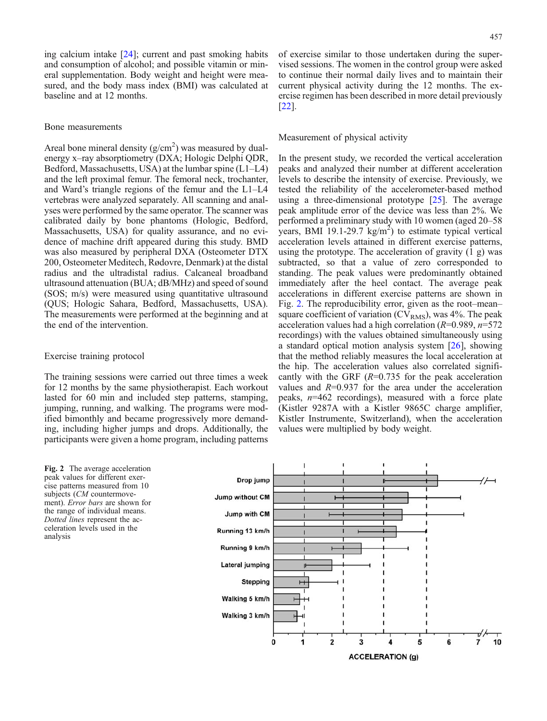<span id="page-2-0"></span>ing calcium intake [\[24\]](#page-8-0); current and past smoking habits and consumption of alcohol; and possible vitamin or mineral supplementation. Body weight and height were measured, and the body mass index (BMI) was calculated at baseline and at 12 months.

#### Bone measurements

Areal bone mineral density  $(g/cm^2)$  was measured by dualenergy x–ray absorptiometry (DXA; Hologic Delphi QDR, Bedford, Massachusetts, USA) at the lumbar spine (L1–L4) and the left proximal femur. The femoral neck, trochanter, and Ward's triangle regions of the femur and the L1–L4 vertebras were analyzed separately. All scanning and analyses were performed by the same operator. The scanner was calibrated daily by bone phantoms (Hologic, Bedford, Massachusetts, USA) for quality assurance, and no evidence of machine drift appeared during this study. BMD was also measured by peripheral DXA (Osteometer DTX 200, Osteometer Meditech, Rødovre, Denmark) at the distal radius and the ultradistal radius. Calcaneal broadband ultrasound attenuation (BUA; dB/MHz) and speed of sound (SOS; m/s) were measured using quantitative ultrasound (QUS; Hologic Sahara, Bedford, Massachusetts, USA). The measurements were performed at the beginning and at the end of the intervention.

#### Exercise training protocol

The training sessions were carried out three times a week for 12 months by the same physiotherapist. Each workout lasted for 60 min and included step patterns, stamping, jumping, running, and walking. The programs were modified bimonthly and became progressively more demanding, including higher jumps and drops. Additionally, the participants were given a home program, including patterns

of exercise similar to those undertaken during the supervised sessions. The women in the control group were asked to continue their normal daily lives and to maintain their current physical activity during the 12 months. The exercise regimen has been described in more detail previously [[22](#page-7-0)].

#### Measurement of physical activity

In the present study, we recorded the vertical acceleration peaks and analyzed their number at different acceleration levels to describe the intensity of exercise. Previously, we tested the reliability of the accelerometer-based method using a three-dimensional prototype [[25](#page-8-0)]. The average peak amplitude error of the device was less than 2%. We performed a preliminary study with 10 women (aged 20–58 years, BMI 19.1-29.7  $\text{kg/m}^2$ ) to estimate typical vertical acceleration levels attained in different exercise patterns, using the prototype. The acceleration of gravity (1 g) was subtracted, so that a value of zero corresponded to standing. The peak values were predominantly obtained immediately after the heel contact. The average peak accelerations in different exercise patterns are shown in Fig. 2. The reproducibility error, given as the root–mean– square coefficient of variation  $(CV_{RMS})$ , was 4%. The peak acceleration values had a high correlation  $(R=0.989, n=572)$ recordings) with the values obtained simultaneously using a standard optical motion analysis system [\[26\]](#page-8-0), showing that the method reliably measures the local acceleration at the hip. The acceleration values also correlated significantly with the GRF  $(R=0.735)$  for the peak acceleration values and  $R=0.937$  for the area under the acceleration peaks,  $n=462$  recordings), measured with a force plate (Kistler 9287A with a Kistler 9865C charge amplifier, Kistler Instrumente, Switzerland), when the acceleration values were multiplied by body weight.

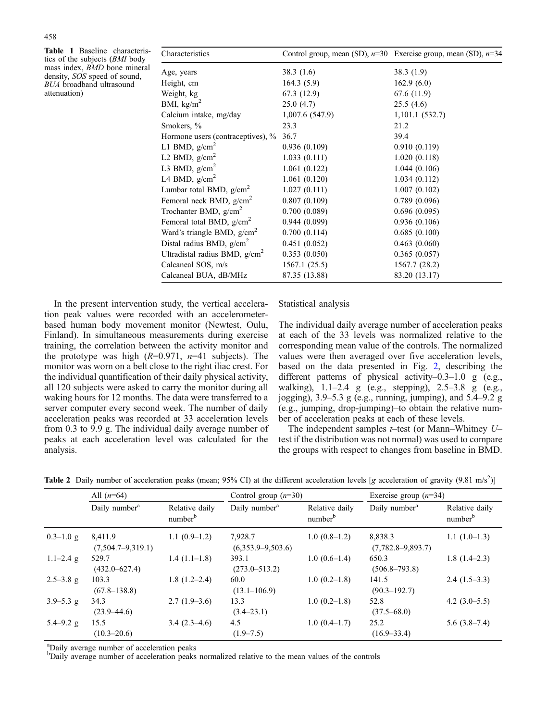<span id="page-3-0"></span>Table 1 Baseline characteristics of the subjects (BMI body mass index, BMD bone mineral density, SOS speed of sound, BUA broadband ultrasound attenuation)

| Characteristics                   |                | Control group, mean (SD), $n=30$ Exercise group, mean (SD), $n=34$ |
|-----------------------------------|----------------|--------------------------------------------------------------------|
| Age, years                        | 38.3(1.6)      | 38.3(1.9)                                                          |
| Height, cm                        | 164.3(5.9)     | 162.9(6.0)                                                         |
| Weight, kg                        | 67.3(12.9)     | 67.6 (11.9)                                                        |
| BMI, $\text{kg/m}^2$              | 25.0(4.7)      | 25.5(4.6)                                                          |
| Calcium intake, mg/day            | 1,007.6(547.9) | 1,101.1(532.7)                                                     |
| Smokers, %                        | 23.3           | 21.2                                                               |
| Hormone users (contraceptives), % | 36.7           | 39.4                                                               |
| L1 BMD, $g/cm^2$                  | 0.936(0.109)   | 0.910(0.119)                                                       |
| L2 BMD, $g/cm2$                   | 1.033(0.111)   | 1.020(0.118)                                                       |
| L3 BMD, $g/cm2$                   | 1.061(0.122)   | 1.044(0.106)                                                       |
| L4 BMD, $g/cm2$                   | 1.061(0.120)   | 1.034(0.112)                                                       |
| Lumbar total BMD, $g/cm^2$        | 1.027(0.111)   | 1.007(0.102)                                                       |
| Femoral neck BMD, $g/cm^2$        | 0.807(0.109)   | 0.789(0.096)                                                       |
| Trochanter BMD, $g/cm2$           | 0.700(0.089)   | 0.696(0.095)                                                       |
| Femoral total BMD, $g/cm2$        | 0.944(0.099)   | 0.936(0.106)                                                       |
| Ward's triangle BMD, $g/cm2$      | 0.700(0.114)   | 0.685(0.100)                                                       |
| Distal radius BMD, $g/cm2$        | 0.451(0.052)   | 0.463(0.060)                                                       |
| Ultradistal radius BMD, $g/cm2$   | 0.353(0.050)   | 0.365(0.057)                                                       |
| Calcaneal SOS, m/s                | 1567.1 (25.5)  | 1567.7 (28.2)                                                      |
| Calcaneal BUA, dB/MHz             | 87.35 (13.88)  | 83.20 (13.17)                                                      |

In the present intervention study, the vertical acceleration peak values were recorded with an accelerometerbased human body movement monitor (Newtest, Oulu, Finland). In simultaneous measurements during exercise training, the correlation between the activity monitor and the prototype was high  $(R=0.971, n=41$  subjects). The monitor was worn on a belt close to the right iliac crest. For the individual quantification of their daily physical activity, all 120 subjects were asked to carry the monitor during all waking hours for 12 months. The data were transferred to a server computer every second week. The number of daily acceleration peaks was recorded at 33 acceleration levels from 0.3 to 9.9 g. The individual daily average number of peaks at each acceleration level was calculated for the analysis.

Statistical analysis

The individual daily average number of acceleration peaks at each of the 33 levels was normalized relative to the corresponding mean value of the controls. The normalized values were then averaged over five acceleration levels, based on the data presented in Fig. [2](#page-2-0), describing the different patterns of physical activity–0.3–1.0 g (e.g., walking), 1.1–2.4 g (e.g., stepping), 2.5–3.8 g (e.g., jogging), 3.9–5.3 g (e.g., running, jumping), and 5.4–9.2 g (e.g., jumping, drop-jumping)–to obtain the relative number of acceleration peaks at each of these levels.

The independent samples  $t$ –test (or Mann–Whitney  $U$ – test if the distribution was not normal) was used to compare the groups with respect to changes from baseline in BMD.

Table 2 Daily number of acceleration peaks (mean; 95% CI) at the different acceleration levels [g acceleration of gravity (9.81 m/s<sup>2</sup>)]

|               | All $(n=64)$                   |                                       | Control group $(n=30)$         |                                       | Exercise group $(n=34)$          |                                       |
|---------------|--------------------------------|---------------------------------------|--------------------------------|---------------------------------------|----------------------------------|---------------------------------------|
|               | Daily number <sup>a</sup>      | Relative daily<br>number <sup>b</sup> | Daily number <sup>a</sup>      | Relative daily<br>number <sup>b</sup> | Daily number <sup>a</sup>        | Relative daily<br>number <sup>b</sup> |
| $0.3-1.0 g$   | 8,411.9<br>$(7,504.7-9,319.1)$ | $1.1(0.9-1.2)$                        | 7,928.7<br>$(6,353.9-9,503.6)$ | $1.0(0.8-1.2)$                        | 8,838.3<br>$(7,782.8 - 9,893.7)$ | $1.1(1.0-1.3)$                        |
| $1.1 - 2.4$ g | 529.7<br>$(432.0 - 627.4)$     | $1.4(1.1-1.8)$                        | 393.1<br>$(273.0 - 513.2)$     | $1.0(0.6-1.4)$                        | 650.3<br>$(506.8 - 793.8)$       | $1.8(1.4-2.3)$                        |
| $2.5 - 3.8$ g | 103.3<br>$(67.8 - 138.8)$      | $1.8(1.2-2.4)$                        | 60.0<br>$(13.1 - 106.9)$       | $1.0(0.2-1.8)$                        | 141.5<br>$(90.3 - 192.7)$        | $2.4(1.5-3.3)$                        |
| 3.9–5.3 g     | 34.3<br>$(23.9 - 44.6)$        | $2.7(1.9-3.6)$                        | 13.3<br>$(3.4 - 23.1)$         | $1.0(0.2-1.8)$                        | 52.8<br>$(37.5 - 68.0)$          | $4.2(3.0-5.5)$                        |
| 5.4–9.2 g     | 15.5<br>$(10.3 - 20.6)$        | $3.4(2.3-4.6)$                        | 4.5<br>$(1.9 - 7.5)$           | $1.0(0.4-1.7)$                        | 25.2<br>$(16.9 - 33.4)$          | $5.6(3.8-7.4)$                        |

<sup>a</sup>Daily average number of acceleration peaks

<sup>b</sup>Daily average number of acceleration peaks normalized relative to the mean values of the controls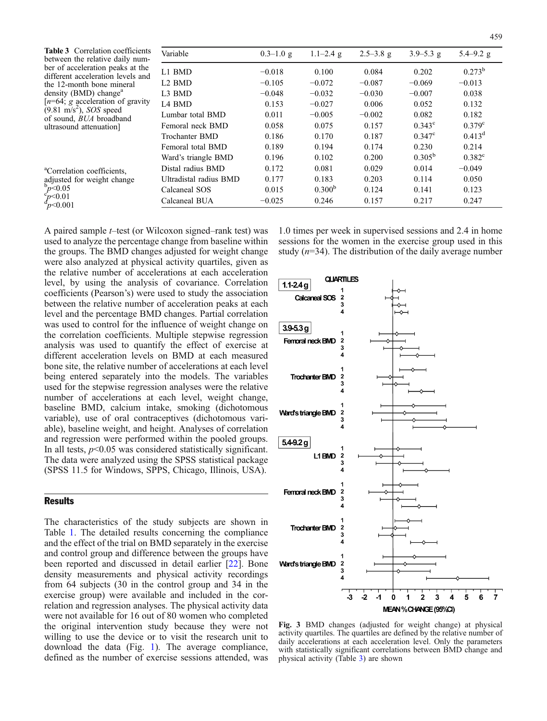| ٠ | ۰.<br>$\sim$ | ۰.<br>٠<br>۰. |
|---|--------------|---------------|
|---|--------------|---------------|

<span id="page-4-0"></span>

| <b>Table 3</b> Correlation coefficients<br>between the relative daily num-                                                                                                 | Variable               | $0.3-1.0 g$ | $1.1 - 2.4$ g      | $2.5 - 3.8$ g | 3.9–5.3 g       | $5.4 - 9.2$ g   |
|----------------------------------------------------------------------------------------------------------------------------------------------------------------------------|------------------------|-------------|--------------------|---------------|-----------------|-----------------|
| ber of acceleration peaks at the<br>different acceleration levels and                                                                                                      | L1 BMD                 | $-0.018$    | 0.100              | 0.084         | 0.202           | $0.273^{\rm b}$ |
| the 12-month bone mineral                                                                                                                                                  | L <sub>2</sub> BMD     | $-0.105$    | $-0.072$           | $-0.087$      | $-0.069$        | $-0.013$        |
| density (BMD) change <sup>a</sup><br>$[n=64; g$ acceleration of gravity<br>$(9.81 \text{ m/s}^2)$ , SOS speed<br>of sound, <i>BUA</i> broadband<br>ultrasound attenuation] | L3 BMD                 | $-0.048$    | $-0.032$           | $-0.030$      | $-0.007$        | 0.038           |
|                                                                                                                                                                            | <b>IA BMD</b>          | 0.153       | $-0.027$           | 0.006         | 0.052           | 0.132           |
|                                                                                                                                                                            | Lumbar total BMD       | 0.011       | $-0.005$           | $-0.002$      | 0.082           | 0.182           |
|                                                                                                                                                                            | Femoral neck BMD       | 0.058       | 0.075              | 0.157         | $0.343^{\circ}$ | $0.379^{\circ}$ |
|                                                                                                                                                                            | Trochanter BMD         | 0.186       | 0.170              | 0.187         | $0.347^{\circ}$ | $0.413^d$       |
|                                                                                                                                                                            | Femoral total BMD      | 0.189       | 0.194              | 0.174         | 0.230           | 0.214           |
| <sup>a</sup> Correlation coefficients,<br>adjusted for weight change<br>$b_p<0.05$                                                                                         | Ward's triangle BMD    | 0.196       | 0.102              | 0.200         | $0.305^{b}$     | $0.382^{\circ}$ |
|                                                                                                                                                                            | Distal radius BMD      | 0.172       | 0.081              | 0.029         | 0.014           | $-0.049$        |
|                                                                                                                                                                            | Ultradistal radius BMD | 0.177       | 0.183              | 0.203         | 0.114           | 0.050           |
|                                                                                                                                                                            | Calcaneal SOS          | 0.015       | 0.300 <sup>b</sup> | 0.124         | 0.141           | 0.123           |
| $\int_{\substack{b \ p>0.01}}^{\substack{c \ p>0.01}}$                                                                                                                     | Calcaneal BUA          | $-0.025$    | 0.246              | 0.157         | 0.217           | 0.247           |
|                                                                                                                                                                            |                        |             |                    |               |                 |                 |

A paired sample t–test (or Wilcoxon signed–rank test) was used to analyze the percentage change from baseline within the groups. The BMD changes adjusted for weight change were also analyzed at physical activity quartiles, given as the relative number of accelerations at each acceleration level, by using the analysis of covariance. Correlation coefficients (Pearson's) were used to study the association between the relative number of acceleration peaks at each level and the percentage BMD changes. Partial correlation was used to control for the influence of weight change on the correlation coefficients. Multiple stepwise regression analysis was used to quantify the effect of exercise at different acceleration levels on BMD at each measured bone site, the relative number of accelerations at each level being entered separately into the models. The variables used for the stepwise regression analyses were the relative number of accelerations at each level, weight change, baseline BMD, calcium intake, smoking (dichotomous variable), use of oral contraceptives (dichotomous variable), baseline weight, and height. Analyses of correlation and regression were performed within the pooled groups. In all tests,  $p<0.05$  was considered statistically significant. The data were analyzed using the SPSS statistical package (SPSS 11.5 for Windows, SPPS, Chicago, Illinois, USA).

# **Results**

The characteristics of the study subjects are shown in Table [1.](#page-3-0) The detailed results concerning the compliance and the effect of the trial on BMD separately in the exercise and control group and difference between the groups have been reported and discussed in detail earlier [\[22](#page-7-0)]. Bone density measurements and physical activity recordings from 64 subjects (30 in the control group and 34 in the exercise group) were available and included in the correlation and regression analyses. The physical activity data were not available for 16 out of 80 women who completed the original intervention study because they were not willing to use the device or to visit the research unit to download the data (Fig. [1\)](#page-1-0). The average compliance, defined as the number of exercise sessions attended, was

1.0 times per week in supervised sessions and 2.4 in home sessions for the women in the exercise group used in this study  $(n=34)$ . The distribution of the daily average number



Fig. 3 BMD changes (adjusted for weight change) at physical activity quartiles. The quartiles are defined by the relative number of daily accelerations at each acceleration level. Only the parameters with statistically significant correlations between BMD change and physical activity (Table 3) are shown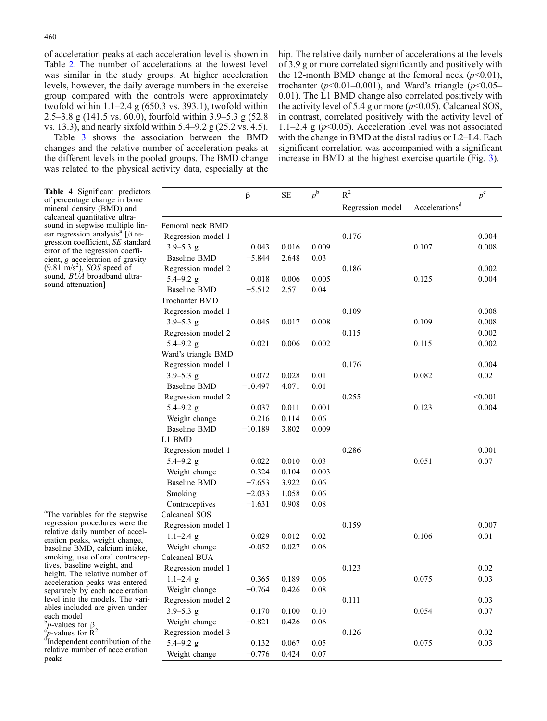<span id="page-5-0"></span>of acceleration peaks at each acceleration level is shown in Table [2](#page-3-0). The number of accelerations at the lowest level was similar in the study groups. At higher acceleration levels, however, the daily average numbers in the exercise group compared with the controls were approximately twofold within  $1.1-2.4$  g (650.3 vs. 393.1), twofold within 2.5–3.8 g (141.5 vs. 60.0), fourfold within 3.9–5.3 g (52.8 vs. 13.3), and nearly sixfold within 5.4–9.2 g (25.2 vs. 4.5).

Table [3](#page-4-0) shows the association between the BMD changes and the relative number of acceleration peaks at the different levels in the pooled groups. The BMD change was related to the physical activity data, especially at the

hip. The relative daily number of accelerations at the levels of 3.9 g or more correlated significantly and positively with the 12-month BMD change at the femoral neck  $(p<0.01)$ , trochanter ( $p$ <0.01–0.001), and Ward's triangle ( $p$ <0.05– 0.01). The L1 BMD change also correlated positively with the activity level of 5.4 g or more  $(p<0.05)$ . Calcaneal SOS, in contrast, correlated positively with the activity level of 1.1–2.4 g ( $p$ <0.05). Acceleration level was not associated with the change in BMD at the distal radius or L2–L4. Each significant correlation was accompanied with a significant increase in BMD at the highest exercise quartile (Fig. [3\)](#page-4-0).

|                     | $\beta$   | SE    | $p^{\rm b}$ | $R^2$            |                                     |             |
|---------------------|-----------|-------|-------------|------------------|-------------------------------------|-------------|
|                     |           |       |             | Regression model | $\Large{\bf Accelerations}^{\rm d}$ | $p^{\rm c}$ |
| Femoral neck BMD    |           |       |             |                  |                                     |             |
| Regression model 1  |           |       |             | 0.176            |                                     | 0.004       |
| $3.9 - 5.3$ g       | 0.043     | 0.016 | 0.009       |                  | 0.107                               | 0.008       |
| <b>Baseline BMD</b> | $-5.844$  | 2.648 | 0.03        |                  |                                     |             |
| Regression model 2  |           |       |             | 0.186            |                                     | 0.002       |
| 5.4–9.2 g           | 0.018     | 0.006 | 0.005       |                  | 0.125                               | 0.004       |
| <b>Baseline BMD</b> | $-5.512$  | 2.571 | 0.04        |                  |                                     |             |
| Trochanter BMD      |           |       |             |                  |                                     |             |
| Regression model 1  |           |       |             | 0.109            |                                     | 0.008       |
| $3.9 - 5.3$ g       | 0.045     | 0.017 | 0.008       |                  | 0.109                               | 0.008       |
| Regression model 2  |           |       |             | 0.115            |                                     | 0.002       |
| $5.4 - 9.2$ g       | 0.021     | 0.006 | 0.002       |                  | 0.115                               | 0.002       |
| Ward's triangle BMD |           |       |             |                  |                                     |             |
| Regression model 1  |           |       |             | 0.176            |                                     | 0.004       |
| $3.9 - 5.3$ g       | 0.072     | 0.028 | 0.01        |                  | 0.082                               | 0.02        |
| <b>Baseline BMD</b> | $-10.497$ | 4.071 | 0.01        |                  |                                     |             |
| Regression model 2  |           |       |             | 0.255            |                                     | < 0.001     |
| $5.4 - 9.2$ g       | 0.037     | 0.011 | 0.001       |                  | 0.123                               | 0.004       |
| Weight change       | 0.216     | 0.114 | 0.06        |                  |                                     |             |
| <b>Baseline BMD</b> | $-10.189$ | 3.802 | 0.009       |                  |                                     |             |
| L1 BMD              |           |       |             |                  |                                     |             |
| Regression model 1  |           |       |             | 0.286            |                                     | 0.001       |
| $5.4 - 9.2$ g       | 0.022     | 0.010 | 0.03        |                  | 0.051                               | 0.07        |
| Weight change       | 0.324     | 0.104 | 0.003       |                  |                                     |             |
| <b>Baseline BMD</b> | $-7.653$  | 3.922 | 0.06        |                  |                                     |             |
| Smoking             | $-2.033$  | 1.058 | 0.06        |                  |                                     |             |
| Contraceptives      | $-1.631$  | 0.908 | 0.08        |                  |                                     |             |
| Calcaneal SOS       |           |       |             |                  |                                     |             |
| Regression model 1  |           |       |             | 0.159            |                                     | 0.007       |
| $1.1 - 2.4$ g       | 0.029     | 0.012 | 0.02        |                  | 0.106                               | 0.01        |
| Weight change       | $-0.052$  | 0.027 | 0.06        |                  |                                     |             |
| Calcaneal BUA       |           |       |             |                  |                                     |             |
| Regression model 1  |           |       |             | 0.123            |                                     | 0.02        |
| $1.1 - 2.4$ g       | 0.365     | 0.189 | 0.06        |                  | 0.075                               | 0.03        |
| Weight change       | $-0.764$  | 0.426 | 0.08        |                  |                                     |             |
| Regression model 2  |           |       |             | 0.111            |                                     | 0.03        |
| $3.9 - 5.3$ g       | 0.170     | 0.100 | 0.10        |                  | 0.054                               | 0.07        |
| Weight change       | $-0.821$  | 0.426 | 0.06        |                  |                                     |             |
| Regression model 3  |           |       |             | 0.126            |                                     | 0.02        |
| 5.4-9.2 $g$         | 0.132     | 0.067 | 0.05        |                  | 0.075                               | 0.03        |
| Weight change       | $-0.776$  | 0.424 | 0.07        |                  |                                     |             |

Table 4 Significant predictors of percentage change in bo mineral density (BMD) and calcaneal quantitative ultrasound in stepwise multiple ear regression analysis<sup>a</sup> [ $\beta$ gression coefficient,  $SE$  standard error of the regression coefficient,  $g$  acceleration of gra  $(9.81 \text{ m/s}^2)$ , SOS speed of sound, BUA broadband ult sound attenuation]

<sup>a</sup>The variables for the stepwise regression procedures were relative daily number of aceration peaks, weight chan baseline BMD, calcium int smoking, use of oral contra tives, baseline weight, and height. The relative number acceleration peaks was ente separately by each accelera level into the models. The ables included are given un each model  $\sigma_{\text{p-values}}^{\text{b}}$  for β

*p*-values for  $\dot{R}^2$ 

<sup>d</sup>Independent contribution of the relative number of accelera peaks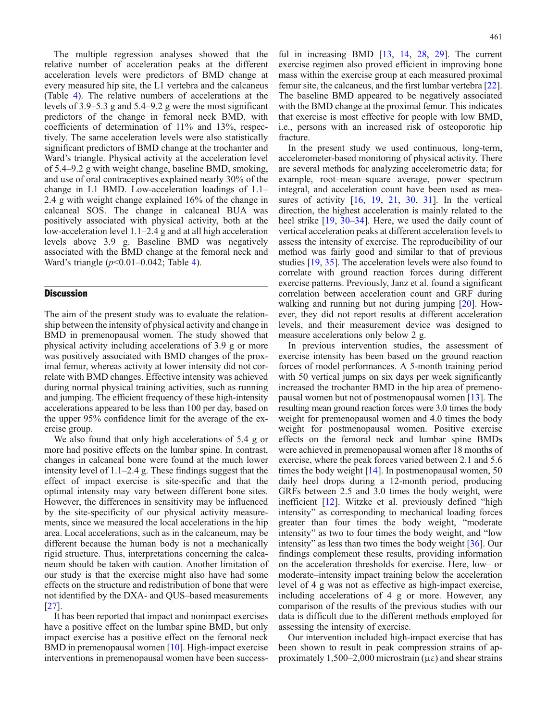The multiple regression analyses showed that the relative number of acceleration peaks at the different acceleration levels were predictors of BMD change at every measured hip site, the L1 vertebra and the calcaneus (Table [4\)](#page-5-0). The relative numbers of accelerations at the levels of 3.9–5.3 g and 5.4–9.2 g were the most significant predictors of the change in femoral neck BMD, with coefficients of determination of 11% and 13%, respectively. The same acceleration levels were also statistically significant predictors of BMD change at the trochanter and Ward's triangle. Physical activity at the acceleration level of 5.4–9.2 g with weight change, baseline BMD, smoking, and use of oral contraceptives explained nearly 30% of the change in L1 BMD. Low-acceleration loadings of 1.1– 2.4 g with weight change explained 16% of the change in calcaneal SOS. The change in calcaneal BUA was positively associated with physical activity, both at the low-acceleration level 1.1–2.4 g and at all high acceleration levels above 3.9 g. Baseline BMD was negatively associated with the BMD change at the femoral neck and Ward's triangle  $(p<0.01-0.042$ ; Table [4\)](#page-5-0).

## **Discussion**

The aim of the present study was to evaluate the relationship between the intensity of physical activity and change in BMD in premenopausal women. The study showed that physical activity including accelerations of 3.9 g or more was positively associated with BMD changes of the proximal femur, whereas activity at lower intensity did not correlate with BMD changes. Effective intensity was achieved during normal physical training activities, such as running and jumping. The efficient frequency of these high-intensity accelerations appeared to be less than 100 per day, based on the upper 95% confidence limit for the average of the exercise group.

We also found that only high accelerations of 5.4 g or more had positive effects on the lumbar spine. In contrast, changes in calcaneal bone were found at the much lower intensity level of 1.1–2.4 g. These findings suggest that the effect of impact exercise is site-specific and that the optimal intensity may vary between different bone sites. However, the differences in sensitivity may be influenced by the site-specificity of our physical activity measurements, since we measured the local accelerations in the hip area. Local accelerations, such as in the calcaneum, may be different because the human body is not a mechanically rigid structure. Thus, interpretations concerning the calcaneum should be taken with caution. Another limitation of our study is that the exercise might also have had some effects on the structure and redistribution of bone that were not identified by the DXA- and QUS–based measurements [[27](#page-8-0)].

It has been reported that impact and nonimpact exercises have a positive effect on the lumbar spine BMD, but only impact exercise has a positive effect on the femoral neck BMD in premenopausal women [\[10\]](#page-7-0). High-impact exercise interventions in premenopausal women have been success-

ful in increasing BMD [\[13,](#page-7-0) [14,](#page-7-0) [28,](#page-8-0) [29\]](#page-8-0). The current exercise regimen also proved efficient in improving bone mass within the exercise group at each measured proximal femur site, the calcaneus, and the first lumbar vertebra [[22](#page-7-0)]. The baseline BMD appeared to be negatively associated with the BMD change at the proximal femur. This indicates that exercise is most effective for people with low BMD, i.e., persons with an increased risk of osteoporotic hip fracture.

In the present study we used continuous, long-term, accelerometer-based monitoring of physical activity. There are several methods for analyzing accelerometric data; for example, root–mean–square average, power spectrum integral, and acceleration count have been used as measures of activity  $[16, 19, 21, 30, 31]$  $[16, 19, 21, 30, 31]$  $[16, 19, 21, 30, 31]$  $[16, 19, 21, 30, 31]$  $[16, 19, 21, 30, 31]$  $[16, 19, 21, 30, 31]$  $[16, 19, 21, 30, 31]$  $[16, 19, 21, 30, 31]$  $[16, 19, 21, 30, 31]$  $[16, 19, 21, 30, 31]$ . In the vertical direction, the highest acceleration is mainly related to the heel strike [\[19](#page-7-0), [30](#page-8-0)–[34\]](#page-8-0). Here, we used the daily count of vertical acceleration peaks at different acceleration levels to assess the intensity of exercise. The reproducibility of our method was fairly good and similar to that of previous studies [\[19](#page-7-0), [35](#page-8-0)]. The acceleration levels were also found to correlate with ground reaction forces during different exercise patterns. Previously, Janz et al. found a significant correlation between acceleration count and GRF during walking and running but not during jumping [\[20\]](#page-7-0). However, they did not report results at different acceleration levels, and their measurement device was designed to measure accelerations only below 2 g.

In previous intervention studies, the assessment of exercise intensity has been based on the ground reaction forces of model performances. A 5-month training period with 50 vertical jumps on six days per week significantly increased the trochanter BMD in the hip area of premenopausal women but not of postmenopausal women [\[13\]](#page-7-0). The resulting mean ground reaction forces were 3.0 times the body weight for premenopausal women and 4.0 times the body weight for postmenopausal women. Positive exercise effects on the femoral neck and lumbar spine BMDs were achieved in premenopausal women after 18 months of exercise, where the peak forces varied between 2.1 and 5.6 times the body weight [\[14\]](#page-7-0). In postmenopausal women, 50 daily heel drops during a 12-month period, producing GRFs between 2.5 and 3.0 times the body weight, were inefficient [\[12\]](#page-7-0). Witzke et al. previously defined "high intensity" as corresponding to mechanical loading forces greater than four times the body weight, "moderate intensity" as two to four times the body weight, and "low intensity" as less than two times the body weight [[36](#page-8-0)]. Our findings complement these results, providing information on the acceleration thresholds for exercise. Here, low– or moderate–intensity impact training below the acceleration level of 4 g was not as effective as high-impact exercise, including accelerations of 4 g or more. However, any comparison of the results of the previous studies with our data is difficult due to the different methods employed for assessing the intensity of exercise.

Our intervention included high-impact exercise that has been shown to result in peak compression strains of approximately 1,500–2,000 microstrain (με) and shear strains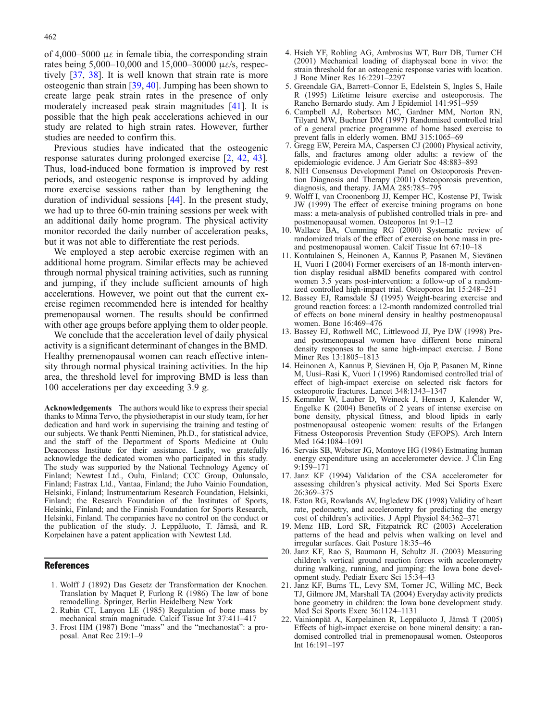<span id="page-7-0"></span>of 4,000–5000 με in female tibia, the corresponding strain rates being 5,000–10,000 and 15,000–30000 με/s, respectively [\[37,](#page-8-0) [38](#page-8-0)]. It is well known that strain rate is more osteogenic than strain [[39](#page-8-0), [40\]](#page-8-0). Jumping has been shown to create large peak strain rates in the presence of only moderately increased peak strain magnitudes [\[41\]](#page-8-0). It is possible that the high peak accelerations achieved in our study are related to high strain rates. However, further studies are needed to confirm this.

Previous studies have indicated that the osteogenic response saturates during prolonged exercise [2, [42,](#page-8-0) [43\]](#page-8-0). Thus, load-induced bone formation is improved by rest periods, and osteogenic response is improved by adding more exercise sessions rather than by lengthening the duration of individual sessions [\[44\]](#page-8-0). In the present study, we had up to three 60-min training sessions per week with an additional daily home program. The physical activity monitor recorded the daily number of acceleration peaks, but it was not able to differentiate the rest periods.

We employed a step aerobic exercise regimen with an additional home program. Similar effects may be achieved through normal physical training activities, such as running and jumping, if they include sufficient amounts of high accelerations. However, we point out that the current exercise regimen recommended here is intended for healthy premenopausal women. The results should be confirmed with other age groups before applying them to older people.

We conclude that the acceleration level of daily physical activity is a significant determinant of changes in the BMD. Healthy premenopausal women can reach effective intensity through normal physical training activities. In the hip area, the threshold level for improving BMD is less than 100 accelerations per day exceeding 3.9 g.

Acknowledgements The authors would like to express their special thanks to Minna Tervo, the physiotherapist in our study team, for her dedication and hard work in supervising the training and testing of our subjects. We thank Pentti Nieminen, Ph.D., for statistical advice, and the staff of the Department of Sports Medicine at Oulu Deaconess Institute for their assistance. Lastly, we gratefully acknowledge the dedicated women who participated in this study. The study was supported by the National Technology Agency of Finland; Newtest Ltd., Oulu, Finland; CCC Group, Oulunsalo, Finland; Fastrax Ltd., Vantaa, Finland; the Juho Vainio Foundation, Helsinki, Finland; Instrumentarium Research Foundation, Helsinki, Finland; the Research Foundation of the Institutes of Sports, Helsinki, Finland; and the Finnish Foundation for Sports Research, Helsinki, Finland. The companies have no control on the conduct or the publication of the study. J. Leppäluoto, T. Jämsä, and R. Korpelainen have a patent application with Newtest Ltd.

## References

- 1. Wolff J (1892) Das Gesetz der Transformation der Knochen. Translation by Maquet P, Furlong R (1986) The law of bone remodelling. Springer, Berlin Heidelberg New York
- 2. Rubin CT, Lanyon LE (1985) Regulation of bone mass by mechanical strain magnitude. Calcif Tissue Int 37:411–417
- 3. Frost HM (1987) Bone "mass" and the "mechanostat": a proposal. Anat Rec 219:1–9
- 4. Hsieh YF, Robling AG, Ambrosius WT, Burr DB, Turner CH (2001) Mechanical loading of diaphyseal bone in vivo: the strain threshold for an osteogenic response varies with location. J Bone Miner Res 16:2291–2297
- 5. Greendale GA, Barrett–Connor E, Edelstein S, Ingles S, Haile R (1995) Lifetime leisure exercise and osteoporosis. The Rancho Bernardo study. Am J Epidemiol 141:951–959
- 6. Campbell AJ, Robertson MC, Gardner MM, Norton RN, Tilyard MW, Buchner DM (1997) Randomised controlled trial of a general practice programme of home based exercise to prevent falls in elderly women. BMJ 315:1065–69
- 7. Gregg EW, Pereira MA, Caspersen CJ (2000) Physical activity, falls, and fractures among older adults: a review of the epidemiologic evidence. J Am Geriatr Soc 48:883–893
- 8. NIH Consensus Development Panel on Osteoporosis Prevention Diagnosis and Therapy (2001) Osteoporosis prevention, diagnosis, and therapy. JAMA 285:785–795
- 9. Wolff I, van Croonenborg JJ, Kemper HC, Kostense PJ, Twisk JW (1999) The effect of exercise training programs on bone mass: a meta-analysis of published controlled trials in pre- and postmenopausal women. Osteoporos Int 9:1–12
- 10. Wallace BA, Cumming RG (2000) Systematic review of randomized trials of the effect of exercise on bone mass in preand postmenopausal women. Calcif Tissue Int 67:10–18
- 11. Kontulainen S, Heinonen A, Kannus P, Pasanen M, Sievänen H, Vuori I (2004) Former exercisers of an 18-month intervention display residual aBMD benefits compared with control women 3.5 years post-intervention: a follow-up of a randomized controlled high-impact trial. Osteoporos Int 15:248–251
- 12. Bassey EJ, Ramsdale SJ (1995) Weight-bearing exercise and ground reaction forces: a 12-month randomized controlled trial of effects on bone mineral density in healthy postmenopausal women. Bone 16:469–476
- 13. Bassey EJ, Rothwell MC, Littlewood JJ, Pye DW (1998) Preand postmenopausal women have different bone mineral density responses to the same high-impact exercise. J Bone Miner Res 13:1805–1813
- 14. Heinonen A, Kannus P, Sievänen H, Oja P, Pasanen M, Rinne M, Uusi–Rasi K, Vuori I (1996) Randomised controlled trial of effect of high-impact exercise on selected risk factors for osteoporotic fractures. Lancet 348:1343–1347
- 15. Kemmler W, Lauber D, Weineck J, Hensen J, Kalender W, Engelke K (2004) Benefits of 2 years of intense exercise on bone density, physical fitness, and blood lipids in early postmenopausal osteopenic women: results of the Erlangen Fitness Osteoporosis Prevention Study (EFOPS). Arch Intern Med 164:1084–1091
- 16. Servais SB, Webster JG, Montoye HG (1984) Estmating human energy expenditure using an accelerometer device. J Clin Eng 9:159–171
- 17. Janz KF (1994) Validation of the CSA accelerometer for assessing children's physical activity. Med Sci Sports Exerc 26:369–375
- 18. Eston RG, Rowlands AV, Ingledew DK (1998) Validity of heart rate, pedometry, and accelerometry for predicting the energy cost of children's activities. J Appl Physiol 84:362–371
- 19. Menz HB, Lord SR, Fitzpatrick RC (2003) Acceleration patterns of the head and pelvis when walking on level and irregular surfaces. Gait Posture 18:35–46
- 20. Janz KF, Rao S, Baumann H, Schultz JL (2003) Measuring children's vertical ground reaction forces with accelerometry during walking, running, and jumping: the Iowa bone development study. Pediatr Exerc Sci 15:34–43
- 21. Janz KF, Burns TL, Levy SM, Torner JC, Willing MC, Beck TJ, Gilmore JM, Marshall TA (2004) Everyday activity predicts bone geometry in children: the Iowa bone development study. Med Sci Sports Exerc 36:1124–1131
- 22. Vainionpää A, Korpelainen R, Leppäluoto J, Jämsä T (2005) Effects of high-impact exercise on bone mineral density: a randomised controlled trial in premenopausal women. Osteoporos Int 16:191–197